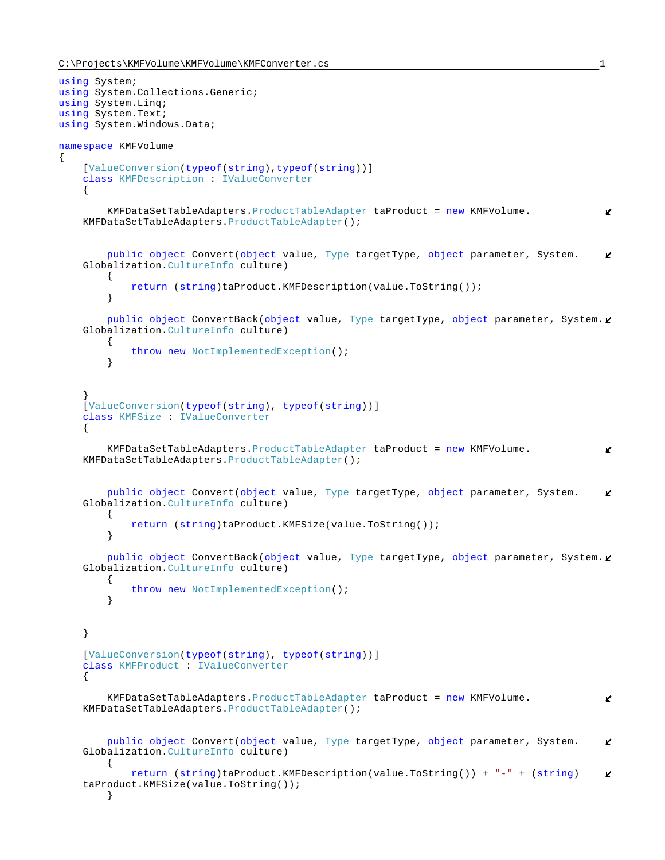{

```
using System;
using System.Collections.Generic;
using System.Linq;
using System.Text;
using System.Windows.Data;
namespace KMFVolume
    [ValueConversion(typeof(string),typeof(string))]
     class KMFDescription : IValueConverter
\left\{\begin{array}{ccc} \end{array}\right\} KMFDataSetTableAdapters.ProductTableAdapter taProduct = new KMFVolume.
                                                                                                   K
    KMFDataSetTableAdapters.ProductTableAdapter();
         public object Convert(object value, Type targetType, object parameter, System.
                                                                                                   K.
    Globalization.CultureInfo culture)
         {
              return (string)taProduct.KMFDescription(value.ToString());
         }
        public object ConvertBack(object value, Type targetType, object parameter, System.
    Globalization.CultureInfo culture)
         {
              throw new NotImplementedException();
         }
 }
     [ValueConversion(typeof(string), typeof(string))]
     class KMFSize : IValueConverter
\left\{\begin{array}{ccc} \end{array}\right\} KMFDataSetTableAdapters.ProductTableAdapter taProduct = new KMFVolume.
                                                                                                   K
    KMFDataSetTableAdapters.ProductTableAdapter();
         public object Convert(object value, Type targetType, object parameter, System.
                                                                                                   K.
    Globalization.CultureInfo culture)
         {
              return (string)taProduct.KMFSize(value.ToString());
         }
        public object ConvertBack(object value, Type targetType, object parameter, System.
    Globalization.CultureInfo culture)
         {
        throw new NotImplementedException();
 }
     }
     [ValueConversion(typeof(string), typeof(string))]
     class KMFProduct : IValueConverter
\left\{\begin{array}{ccc} \end{array}\right\} KMFDataSetTableAdapters.ProductTableAdapter taProduct = new KMFVolume.
                                                                                                   V.
    KMFDataSetTableAdapters.ProductTableAdapter();
         public object Convert(object value, Type targetType, object parameter, System.
                                                                                                   K
    Globalization.CultureInfo culture)
         {
              return (string)taProduct.KMFDescription(value.ToString()) + "-" + (string)
                                                                                                   \mathbf{r}taProduct.KMFSize(value.ToString());
         }
```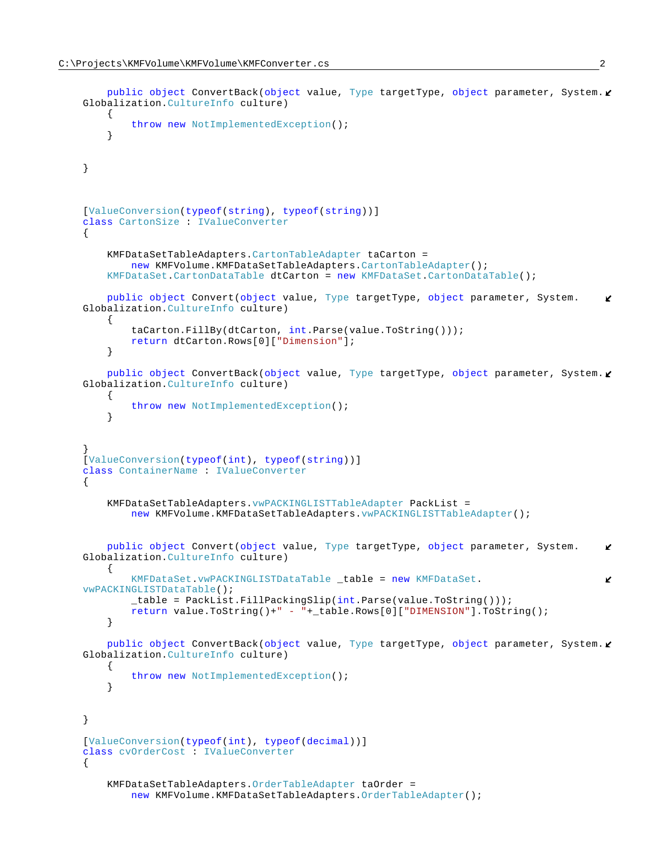```
public object ConvertBack(object value, Type targetType, object parameter, System.
   Globalization.CultureInfo culture)
        {
       throw new NotImplementedException();
 }
    }
   [ValueConversion(typeof(string), typeof(string))]
    class CartonSize : IValueConverter
     {
        KMFDataSetTableAdapters.CartonTableAdapter taCarton =
           new KMFVolume.KMFDataSetTableAdapters.CartonTableAdapter();
        KMFDataSet.CartonDataTable dtCarton = new KMFDataSet.CartonDataTable();
        public object Convert(object value, Type targetType, object parameter, System.
                                                                                           K.
   Globalization.CultureInfo culture)
\{ taCarton.FillBy(dtCarton, int.Parse(value.ToString()));
            return dtCarton.Rows[0]["Dimension"];
        }
       public object ConvertBack(object value, Type targetType, object parameter, System.
   Globalization.CultureInfo culture)
        {
            throw new NotImplementedException();
        }
 }
    [ValueConversion(typeof(int), typeof(string))]
    class ContainerName : IValueConverter
     {
        KMFDataSetTableAdapters.vwPACKINGLISTTableAdapter PackList = 
            new KMFVolume.KMFDataSetTableAdapters.vwPACKINGLISTTableAdapter();
        public object Convert(object value, Type targetType, object parameter, System.
                                                                                           K.
   Globalization.CultureInfo culture)
        {
            KMFDataSet.vwPACKINGLISTDataTable _table = new KMFDataSet.
                                                                                           V
   vwPACKINGLISTDataTable();
            _table = PackList.FillPackingSlip(int.Parse(value.ToString()));
            return value.ToString()+" - "+_table.Rows[0]["DIMENSION"].ToString();
        }
       public object ConvertBack(object value, Type targetType, object parameter, System.
   Globalization.CultureInfo culture)
        {
            throw new NotImplementedException();
        }
    }
   [ValueConversion(typeof(int), typeof(decimal))]
    class cvOrderCost : IValueConverter
     {
        KMFDataSetTableAdapters.OrderTableAdapter taOrder =
            new KMFVolume.KMFDataSetTableAdapters.OrderTableAdapter();
```